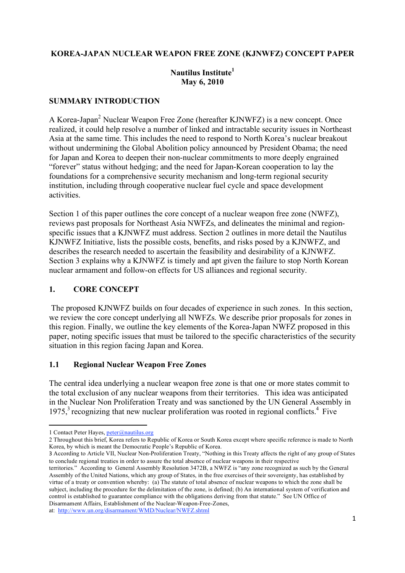#### **KOREA-JAPAN NUCLEAR WEAPON FREE ZONE (KJNWFZ) CONCEPT PAPER**

#### **Nautilus Institute1 May 6, 2010**

#### **SUMMARY INTRODUCTION**

A Korea-Japan<sup>2</sup> Nuclear Weapon Free Zone (hereafter KJNWFZ) is a new concept. Once realized, it could help resolve a number of linked and intractable security issues in Northeast Asia at the same time. This includes the need to respond to North Korea's nuclear breakout without undermining the Global Abolition policy announced by President Obama; the need for Japan and Korea to deepen their non-nuclear commitments to more deeply engrained "forever" status without hedging; and the need for Japan-Korean cooperation to lay the foundations for a comprehensive security mechanism and long-term regional security institution, including through cooperative nuclear fuel cycle and space development activities.

Section 1 of this paper outlines the core concept of a nuclear weapon free zone (NWFZ). reviews past proposals for Northeast Asia NWFZs, and delineates the minimal and regionspecific issues that a KJNWFZ must address. Section 2 outlines in more detail the Nautilus KJNWFZ Initiative, lists the possible costs, benefits, and risks posed by a KJNWFZ, and describes the research needed to ascertain the feasibility and desirability of a KJNWFZ. Section 3 explains why a KJNWFZ is timely and apt given the failure to stop North Korean nuclear armament and follow-on effects for US alliances and regional security.

#### **1. CORE CONCEPT**

The proposed KJNWFZ builds on four decades of experience in such zones. In this section, we review the core concept underlying all NWFZs. We describe prior proposals for zones in this region. Finally, we outline the key elements of the Korea-Japan NWFZ proposed in this paper, noting specific issues that must be tailored to the specific characteristics of the security situation in this region facing Japan and Korea.

#### **1.1 Regional Nuclear Weapon Free Zones**

The central idea underlying a nuclear weapon free zone is that one or more states commit to the total exclusion of any nuclear weapons from their territories. This idea was anticipated in the Nuclear Non Proliferation Treaty and was sanctioned by the UN General Assembly in  $1975$ ,<sup>3</sup> recognizing that new nuclear proliferation was rooted in regional conflicts.<sup>4</sup> Five

3 According to Article VII, Nuclear Non-Proliferation Treaty, "Nothing in this Treaty affects the right of any group of States to conclude regional treaties in order to assure the total absence of nuclear weapons in their respective

territories." According to General Assembly Resolution 3472B, a NWFZ is "any zone recognized as such by the General Assembly of the United Nations, which any group of States, in the free exercises of their sovereignty, has established by virtue of a treaty or convention whereby: (a) The statute of total absence of nuclear weapons to which the zone shall be subject, including the procedure for the delimitation of the zone, is defined; (b) An international system of verification and control is established to guarantee compliance with the obligations deriving from that statute." See UN Office of Disarmament Affairs, Establishment of the Nuclear-Weapon-Free-Zones, at: http://www.un.org/disarmament/WMD/Nuclear/NWFZ.shtml

<sup>&</sup>lt;u> 1989 - Johann Stein, fransk politik (d. 1989)</u> 1 Contact Peter Hayes, peter@nautilus.org

<sup>2</sup> Throughout this brief, Korea refers to Republic of Korea or South Korea except where specific reference is made to North Korea, by which is meant the Democratic People's Republic of Korea.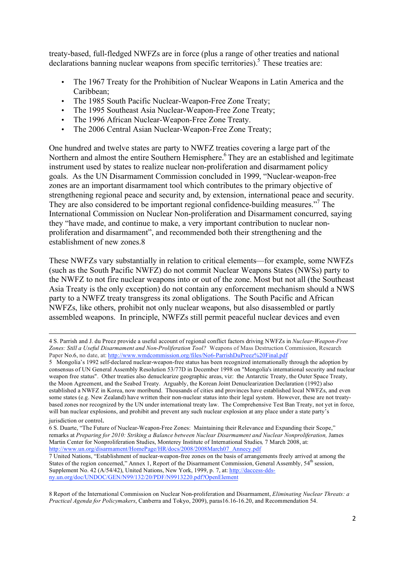treaty-based, full-fledged NWFZs are in force (plus a range of other treaties and national declarations banning nuclear weapons from specific territories).<sup>5</sup> These treaties are:

- The 1967 Treaty for the Prohibition of Nuclear Weapons in Latin America and the Caribbean;
- The 1985 South Pacific Nuclear-Weapon-Free Zone Treaty;
- The 1995 Southeast Asia Nuclear-Weapon-Free Zone Treaty;
- The 1996 African Nuclear-Weapon-Free Zone Treaty.
- The 2006 Central Asian Nuclear-Weapon-Free Zone Treaty;

One hundred and twelve states are party to NWFZ treaties covering a large part of the Northern and almost the entire Southern Hemisphere.<sup>6</sup> They are an established and legitimate instrument used by states to realize nuclear non-proliferation and disarmament policy goals. As the UN Disarmament Commission concluded in 1999, "Nuclear-weapon-free zones are an important disarmament tool which contributes to the primary objective of strengthening regional peace and security and, by extension, international peace and security. They are also considered to be important regional confidence-building measures."<sup>7</sup> The International Commission on Nuclear Non-proliferation and Disarmament concurred, saying they "have made, and continue to make, a very important contribution to nuclear nonproliferation and disarmament", and recommended both their strengthening and the establishment of new zones.8

These NWFZs vary substantially in relation to critical elements—for example, some NWFZs (such as the South Pacific NWFZ) do not commit Nuclear Weapons States (NWSs) party to the NWFZ to not fire nuclear weapons into or out of the zone. Most but not all (the Southeast Asia Treaty is the only exception) do not contain any enforcement mechanism should a NWS party to a NWFZ treaty transgress its zonal obligations. The South Pacific and African NWFZs, like others, prohibit not only nuclear weapons, but also disassembled or partly assembled weapons. In principle, NWFZs still permit peaceful nuclear devices and even

<u> 1989 - Andrea Santa Andrea Andrea Andrea Andrea Andrea Andrea Andrea Andrea Andrea Andrea Andrea Andrea Andr</u>

<sup>4</sup> S. Parrish and J. du Preez provide a useful account of regional conflict factors driving NWFZs in *Nuclear-Weapon-Free Zones: Still a Useful Disarmament and Non-Proliferation Tool?* Weapons of Mass Destruction Commission, Research Paper No.6, no date, at: http://www.wmdcommission.org/files/No6-ParrishDuPreez%20Final.pdf

<sup>5</sup> Mongolia's 1992 self-declared nuclear-weapon-free status has been recognized internationally through the adoption by consensus of UN General Assembly Resolution 53/77D in December 1998 on "Mongolia's international security and nuclear weapon free status". Other treaties also denuclearize geographic areas, viz: the Antarctic Treaty, the Outer Space Treaty, the Moon Agreement, and the Seabed Treaty. Arguably, the Korean Joint Denuclearization Declaration (1992) also established a NWFZ in Korea, now moribund. Thousands of cities and provinces have established local NWFZs, and even some states (e.g. New Zealand) have written their non-nuclear status into their legal system. However, these are not treatybased zones nor recognized by the UN under international treaty law. The Comprehensive Test Ban Treaty, not yet in force, will ban nuclear explosions, and prohibit and prevent any such nuclear explosion at any place under a state party's

jurisdiction or control.

<sup>6</sup> S. Duarte, "The Future of Nuclear-Weapon-Free Zones: Maintaining their Relevance and Expanding their Scope," remarks at *Preparing for 2010: Striking a Balance between Nuclear Disarmament and Nuclear Nonproliferation,* James Martin Center for Nonproliferation Studies, Monterey Institute of International Studies*,* 7 March 2008, at: http://www.un.org/disarmament/HomePage/HR/docs/2008/2008March07\_Annecy.pdf

<sup>7</sup> United Nations, "Establishment of nuclear-weapon-free zones on the basis of arrangements freely arrived at among the States of the region concerned," Annex 1, Report of the Disarmament Commission, General Assembly, 54<sup>th</sup> session, Supplement No. 42 (A/54/42), United Nations, New York, 1999, p. 7, at: http://daccess-ddsny.un.org/doc/UNDOC/GEN/N99/132/20/PDF/N9913220.pdf?OpenElement

<sup>8</sup> Report of the International Commission on Nuclear Non-proliferation and Disarmament, *Eliminating Nuclear Threats: a Practical Agenda for Policymakers*, Canberra and Tokyo, 2009), paras16.16-16.20, and Recommendation 54.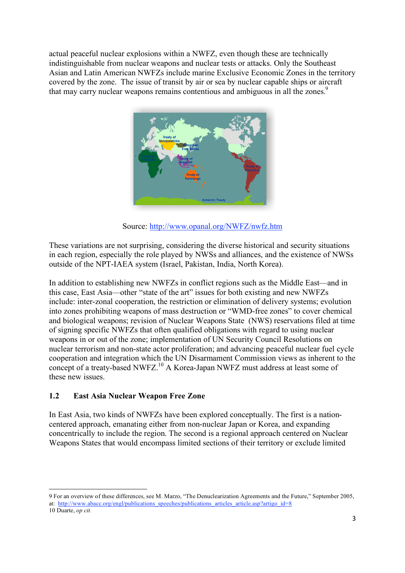actual peaceful nuclear explosions within a NWFZ, even though these are technically indistinguishable from nuclear weapons and nuclear tests or attacks. Only the Southeast Asian and Latin American NWFZs include marine Exclusive Economic Zones in the territory covered by the zone. The issue of transit by air or sea by nuclear capable ships or aircraft that may carry nuclear weapons remains contentious and ambiguous in all the zones.<sup>9</sup>



Source: http://www.opanal.org/NWFZ/nwfz.htm

These variations are not surprising, considering the diverse historical and security situations in each region, especially the role played by NWSs and alliances, and the existence of NWSs outside of the NPT-IAEA system (Israel, Pakistan, India, North Korea).

In addition to establishing new NWFZs in conflict regions such as the Middle East—and in this case, East Asia—other "state of the art" issues for both existing and new NWFZs include: inter-zonal cooperation, the restriction or elimination of delivery systems; evolution into zones prohibiting weapons of mass destruction or "WMD-free zones" to cover chemical and biological weapons; revision of Nuclear Weapons State (NWS) reservations filed at time of signing specific NWFZs that often qualified obligations with regard to using nuclear weapons in or out of the zone; implementation of UN Security Council Resolutions on nuclear terrorism and non-state actor proliferation; and advancing peaceful nuclear fuel cycle cooperation and integration which the UN Disarmament Commission views as inherent to the concept of a treaty-based NWFZ.<sup>10</sup> A Korea-Japan NWFZ must address at least some of these new issues.

## **1.2 East Asia Nuclear Weapon Free Zone**

<u> 1989 - Johann Stein, fransk politik (d. 1989)</u>

In East Asia, two kinds of NWFZs have been explored conceptually. The first is a nationcentered approach, emanating either from non-nuclear Japan or Korea, and expanding concentrically to include the region. The second is a regional approach centered on Nuclear Weapons States that would encompass limited sections of their territory or exclude limited

<sup>9</sup> For an overview of these differences, see M. Marzo, "The Denuclearization Agreements and the Future," September 2005, at: http://www.abacc.org/engl/publications speeches/publications articles article.asp?artigo id=8 10 Duarte, *op cit.*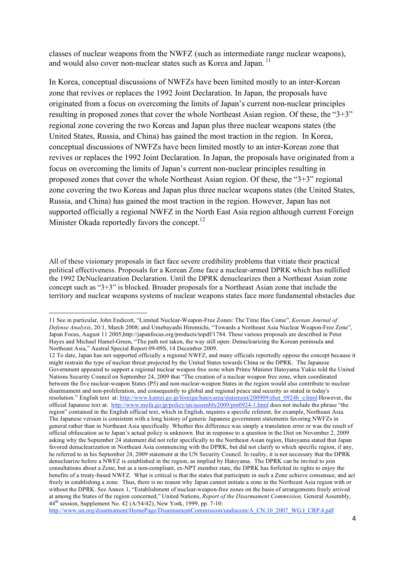classes of nuclear weapons from the NWFZ (such as intermediate range nuclear weapons), and would also cover non-nuclear states such as Korea and Japan.<sup>11</sup>

In Korea, conceptual discussions of NWFZs have been limited mostly to an inter-Korean zone that revives or replaces the 1992 Joint Declaration. In Japan, the proposals have originated from a focus on overcoming the limits of Japan's current non-nuclear principles resulting in proposed zones that cover the whole Northeast Asian region. Of these, the "3+3" regional zone covering the two Koreas and Japan plus three nuclear weapons states (the United States, Russia, and China) has gained the most traction in the region. In Korea, conceptual discussions of NWFZs have been limited mostly to an inter-Korean zone that revives or replaces the 1992 Joint Declaration. In Japan, the proposals have originated from a focus on overcoming the limits of Japan's current non-nuclear principles resulting in proposed zones that cover the whole Northeast Asian region. Of these, the "3+3" regional zone covering the two Koreas and Japan plus three nuclear weapons states (the United States, Russia, and China) has gained the most traction in the region. However, Japan has not supported officially a regional NWFZ in the North East Asia region although current Foreign Minister Okada reportedly favors the concept.<sup>12</sup>

All of these visionary proposals in fact face severe credibility problems that vitiate their practical political effectiveness. Proposals for a Korean Zone face a nuclear-armed DPRK which has nullified the 1992 DeNuclearization Declaration. Until the DPRK denuclearizes then a Northeast Asian zone concept such as "3+3" is blocked. Broader proposals for a Northeast Asian zone that include the territory and nuclear weapons systems of nuclear weapons states face more fundamental obstacles due

<u> 1989 - Johann Stein, fransk politik (d. 1989)</u>

http://www.un.org/disarmament/HomePage/DisarmamentCommission/undiscom/A\_CN.10\_2007\_WG.I\_CRP.4.pdf

<sup>11</sup> See in particular, John Endicott, "Limited Nuclear-Weapon-Free Zones: The Time Has Come", *Korean Journal of Defense Analysis*, 20:1, March 2008; and Umebayashi Hiromichi, "Towards a Northeast Asia Nuclear Weapon-Free Zone", Japan Focus, August 11 2005, http://japanfocus.org/products/topdf/1784. These various proposals are described in Peter Hayes and Michael Hamel-Green, "The path not taken, the way still open: Denuclearizing the Korean peninsula and Northeast Asia," Austral Special Report 09-09S, 14 December 2009.

<sup>12</sup> To date, Japan has not supported officially a regional NWFZ, and many officials reportedly oppose the concept because it might restrain the type of nuclear threat projected by the United States towards China or the DPRK. The Japanese Government appeared to support a regional nuclear weapon free zone when Prime Minister Hatoyama Yukio told the United Nations Security Council on September 24, 2009 that "The creation of a nuclear weapon free zone, when coordinated between the five nuclear-weapon States (P5) and non-nuclear-weapon States in the region would also contribute to nuclear disarmament and non-proliferation, and consequently to global and regional peace and security as stated in today's resolution." English text at: http://www.kantei.go.jp/foreign/hatoyama/statement/200909/ehat\_0924b\_e.html However, the official Japanese text at: http://www.mofa.go.jp/policy/un/assembly2009/pm0924-1.html does not include the phrase "the region" contained in the English official text, which in English, requires a specific referent, for example, Northeast Asia. The Japanese version is consistent with a long history of generic Japanese government statements favoring NWFZs in general rather than in Northeast Asia specifically. Whether this difference was simply a translation error or was the result of official obfuscation as to Japan's actual policy is unknown. But in response to a question in the Diet on November 2, 2009 asking why the September 24 statement did not refer specifically to the Northeast Asian region, Hatoyama stated that Japan favored denuclearization in Northeast Asia commencing with the DPRK, but did not clarify to which specific region, if any, he referred to in his September 24, 2009 statement at the UN Security Council. In reality, it is not necessary that the DPRK denuclearize before a NWFZ is established in the region, as implied by Hatoyama. The DPRK can be invited to join consultations about a Zone, but as a non-compliant, ex-NPT member state, the DPRK has forfeited its rights to enjoy the benefits of a treaty-based NWFZ. What is critical is that the states that participate in such a Zone achieve consensus; and act freely in establishing a zone. Thus, there is no reason why Japan cannot initiate a zone in the Northeast Asia region with or without the DPRK. See Annex 1, "Establishment of nuclear-weapon-free zones on the basis of arrangements freely arrived at among the States of the region concerned," United Nations, *Report of the Disarmament Commission,* General Assembly, 44th session, Supplement No. 42 (A/54/42), New York, 1999, pp. 7-10: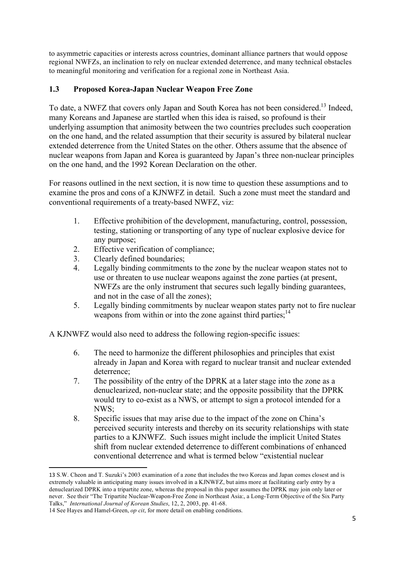to asymmetric capacities or interests across countries, dominant alliance partners that would oppose regional NWFZs, an inclination to rely on nuclear extended deterrence, and many technical obstacles to meaningful monitoring and verification for a regional zone in Northeast Asia.

#### **1.3 Proposed Korea-Japan Nuclear Weapon Free Zone**

To date, a NWFZ that covers only Japan and South Korea has not been considered.<sup>13</sup> Indeed, many Koreans and Japanese are startled when this idea is raised, so profound is their underlying assumption that animosity between the two countries precludes such cooperation on the one hand, and the related assumption that their security is assured by bilateral nuclear extended deterrence from the United States on the other. Others assume that the absence of nuclear weapons from Japan and Korea is guaranteed by Japan's three non-nuclear principles on the one hand, and the 1992 Korean Declaration on the other.

For reasons outlined in the next section, it is now time to question these assumptions and to examine the pros and cons of a KJNWFZ in detail. Such a zone must meet the standard and conventional requirements of a treaty-based NWFZ, viz:

- 1. Effective prohibition of the development, manufacturing, control, possession, testing, stationing or transporting of any type of nuclear explosive device for any purpose;
- 2. Effective verification of compliance;
- 3. Clearly defined boundaries;
- 4. Legally binding commitments to the zone by the nuclear weapon states not to use or threaten to use nuclear weapons against the zone parties (at present, NWFZs are the only instrument that secures such legally binding guarantees, and not in the case of all the zones);
- 5. Legally binding commitments by nuclear weapon states party not to fire nuclear weapons from within or into the zone against third parties;  $14$

A KJNWFZ would also need to address the following region-specific issues:

- 6. The need to harmonize the different philosophies and principles that exist already in Japan and Korea with regard to nuclear transit and nuclear extended deterrence;
- 7. The possibility of the entry of the DPRK at a later stage into the zone as a denuclearized, non-nuclear state; and the opposite possibility that the DPRK would try to co-exist as a NWS, or attempt to sign a protocol intended for a NWS;
- 8. Specific issues that may arise due to the impact of the zone on China's perceived security interests and thereby on its security relationships with state parties to a KJNWFZ. Such issues might include the implicit United States shift from nuclear extended deterrence to different combinations of enhanced conventional deterrence and what is termed below "existential nuclear

<sup>13</sup> S.W. Cheon and T. Suzuki's 2003 examination of a zone that includes the two Koreas and Japan comes closest and is extremely valuable in anticipating many issues involved in a KJNWFZ, but aims more at facilitating early entry by a denuclearized DPRK into a tripartite zone, whereas the proposal in this paper assumes the DPRK may join only later or never. See their "The Tripartite Nuclear-Weapon-Free Zone in Northeast Asia:, a Long-Term Objective of the Six Party Talks," *International Journal of Korean Studies*, 12, 2, 2003, pp. 41-68.

<sup>14</sup> See Hayes and Hamel-Green, *op cit*, for more detail on enabling conditions.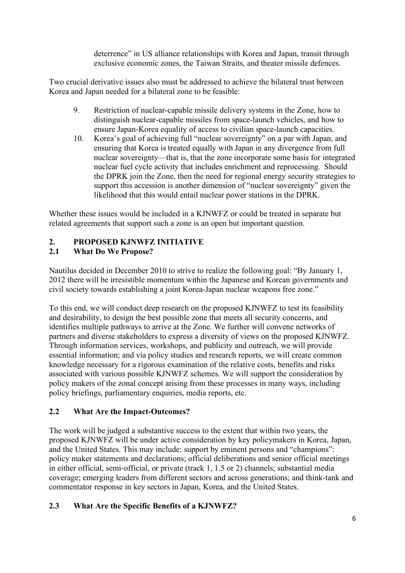deterrence" in US alliance relationships with Korea and Japan, transit through exclusive economic zones, the Taiwan Straits, and theater missile defences.

Two crucial derivative issues also must be addressed to achieve the bilateral trust between Korea and Japan needed for a bilateral zone to be feasible:

- 9. Restriction of nuclear-capable missile delivery systems in the Zone, how to distinguish nuclear-capable missiles from space-launch vehicles, and how to ensure Japan-Korea equality of access to civilian space-launch capacities.
- 10. Korea's goal of achieving full "nuclear sovereignty" on a par with Japan, and ensuring that Korea is treated equally with Japan in any divergence from full nuclear sovereignty—that is, that the zone incorporate some basis for integrated nuclear fuel cycle activity that includes enrichment and reprocessing. Should the DPRK join the Zone, then the need for regional energy security strategies to support this accession is another dimension of "nuclear sovereignty" given the likelihood that this would entail nuclear power stations in the DPRK.

Whether these issues would be included in a KJNWFZ or could be treated in separate but related agreements that support such a zone is an open but important question.

## **2. PROPOSED KJNWFZ INITIATIVE**

## **2.1 What Do We Propose?**

Nautilus decided in December 2010 to strive to realize the following goal: "By January 1, 2012 there will be irresistible momentum within the Japanese and Korean governments and civil society towards establishing a joint Korea-Japan nuclear weapons free zone."

To this end, we will conduct deep research on the proposed KJNWFZ to test its feasibility and desirability, to design the best possible zone that meets all security concerns, and identifies multiple pathways to arrive at the Zone. We further will convene networks of partners and diverse stakeholders to express a diversity of views on the proposed KJNWFZ. Through information services, workshops, and publicity and outreach, we will provide essential information; and via policy studies and research reports, we will create common knowledge necessary for a rigorous examination of the relative costs, benefits and risks associated with various possible KJNWFZ schemes. We will support the consideration by policy makers of the zonal concept arising from these processes in many ways, including policy briefings, parliamentary enquiries, media reports, etc.

## **2.2 What Are the Impact-Outcomes?**

The work will be judged a substantive success to the extent that within two years, the proposed KJNWFZ will be under active consideration by key policymakers in Korea, Japan, and the United States. This may include: support by eminent persons and "champions": policy maker statements and declarations; official deliberations and senior official meetings in either official, semi-official, or private (track 1, 1.5 or 2) channels; substantial media coverage; emerging leaders from different sectors and across generations; and think-tank and commentator response in key sectors in Japan, Korea, and the United States.

# **2.3 What Are the Specific Benefits of a KJNWFZ?**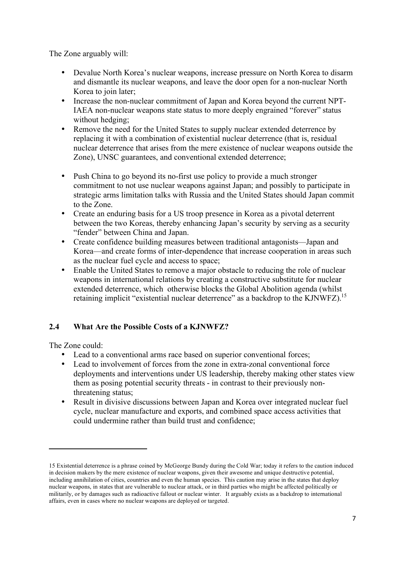The Zone arguably will:

- Devalue North Korea's nuclear weapons, increase pressure on North Korea to disarm and dismantle its nuclear weapons, and leave the door open for a non-nuclear North Korea to join later:
- Increase the non-nuclear commitment of Japan and Korea beyond the current NPT-IAEA non-nuclear weapons state status to more deeply engrained "forever" status without hedging;
- Remove the need for the United States to supply nuclear extended deterrence by replacing it with a combination of existential nuclear deterrence (that is, residual nuclear deterrence that arises from the mere existence of nuclear weapons outside the Zone), UNSC guarantees, and conventional extended deterrence;
- Push China to go beyond its no-first use policy to provide a much stronger commitment to not use nuclear weapons against Japan; and possibly to participate in strategic arms limitation talks with Russia and the United States should Japan commit to the Zone.
- Create an enduring basis for a US troop presence in Korea as a pivotal deterrent between the two Koreas, thereby enhancing Japan's security by serving as a security "fender" between China and Japan.
- Create confidence building measures between traditional antagonists—Japan and Korea—and create forms of inter-dependence that increase cooperation in areas such as the nuclear fuel cycle and access to space;
- Enable the United States to remove a major obstacle to reducing the role of nuclear weapons in international relations by creating a constructive substitute for nuclear extended deterrence, which otherwise blocks the Global Abolition agenda (whilst retaining implicit "existential nuclear deterrence" as a backdrop to the KJNWFZ).<sup>15</sup>

## **2.4 What Are the Possible Costs of a KJNWFZ?**

The Zone could:

- Lead to a conventional arms race based on superior conventional forces;
- Lead to involvement of forces from the zone in extra-zonal conventional force deployments and interventions under US leadership, thereby making other states view them as posing potential security threats - in contrast to their previously nonthreatening status;
- Result in divisive discussions between Japan and Korea over integrated nuclear fuel cycle, nuclear manufacture and exports, and combined space access activities that could undermine rather than build trust and confidence;

<sup>15</sup> Existential deterrence is a phrase coined by McGeorge Bundy during the Cold War; today it refers to the caution induced in decision makers by the mere existence of nuclear weapons, given their awesome and unique destructive potential, including annihilation of cities, countries and even the human species. This caution may arise in the states that deploy nuclear weapons, in states that are vulnerable to nuclear attack, or in third parties who might be affected politically or militarily, or by damages such as radioactive fallout or nuclear winter. It arguably exists as a backdrop to international affairs, even in cases where no nuclear weapons are deployed or targeted.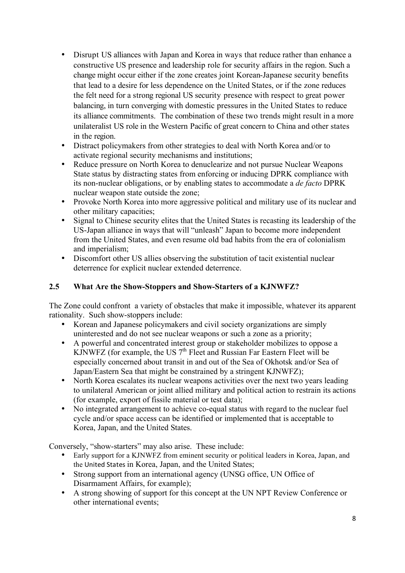- Disrupt US alliances with Japan and Korea in ways that reduce rather than enhance a constructive US presence and leadership role for security affairs in the region. Such a change might occur either if the zone creates joint Korean-Japanese security benefits that lead to a desire for less dependence on the United States, or if the zone reduces the felt need for a strong regional US security presence with respect to great power balancing, in turn converging with domestic pressures in the United States to reduce its alliance commitments. The combination of these two trends might result in a more unilateralist US role in the Western Pacific of great concern to China and other states in the region.
- Distract policymakers from other strategies to deal with North Korea and/or to activate regional security mechanisms and institutions;
- Reduce pressure on North Korea to denuclearize and not pursue Nuclear Weapons State status by distracting states from enforcing or inducing DPRK compliance with its non-nuclear obligations, or by enabling states to accommodate a *de facto* DPRK nuclear weapon state outside the zone;
- Provoke North Korea into more aggressive political and military use of its nuclear and other military capacities;
- Signal to Chinese security elites that the United States is recasting its leadership of the US-Japan alliance in ways that will "unleash" Japan to become more independent from the United States, and even resume old bad habits from the era of colonialism and imperialism;
- Discomfort other US allies observing the substitution of tacit existential nuclear deterrence for explicit nuclear extended deterrence.

## **2.5 What Are the Show-Stoppers and Show-Starters of a KJNWFZ?**

The Zone could confront a variety of obstacles that make it impossible, whatever its apparent rationality. Such show-stoppers include:

- Korean and Japanese policymakers and civil society organizations are simply uninterested and do not see nuclear weapons or such a zone as a priority;
- A powerful and concentrated interest group or stakeholder mobilizes to oppose a KJNWFZ (for example, the US  $7<sup>th</sup>$  Fleet and Russian Far Eastern Fleet will be especially concerned about transit in and out of the Sea of Okhotsk and/or Sea of Japan/Eastern Sea that might be constrained by a stringent KJNWFZ);
- North Korea escalates its nuclear weapons activities over the next two years leading to unilateral American or joint allied military and political action to restrain its actions (for example, export of fissile material or test data);
- No integrated arrangement to achieve co-equal status with regard to the nuclear fuel cycle and/or space access can be identified or implemented that is acceptable to Korea, Japan, and the United States.

Conversely, "show-starters" may also arise. These include:

- Early support for a KJNWFZ from eminent security or political leaders in Korea, Japan, and the United
States in Korea, Japan, and the United States;
- Strong support from an international agency (UNSG office, UN Office of Disarmament Affairs, for example);
- A strong showing of support for this concept at the UN NPT Review Conference or other international events;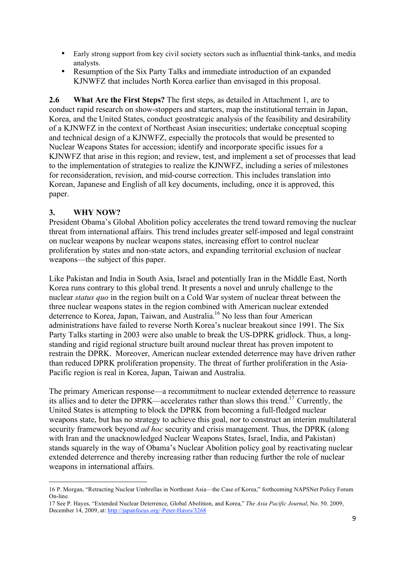- Early strong support from key civil society sectors such as influential think-tanks, and media analysts.
- Resumption of the Six Party Talks and immediate introduction of an expanded KJNWFZ that includes North Korea earlier than envisaged in this proposal.

**2.6 What Are the First Steps?** The first steps, as detailed in Attachment 1, are to conduct rapid research on show-stoppers and starters, map the institutional terrain in Japan, Korea, and the United States, conduct geostrategic analysis of the feasibility and desirability of a KJNWFZ in the context of Northeast Asian insecurities; undertake conceptual scoping and technical design of a KJNWFZ, especially the protocols that would be presented to Nuclear Weapons States for accession; identify and incorporate specific issues for a KJNWFZ that arise in this region; and review, test, and implement a set of processes that lead to the implementation of strategies to realize the KJNWFZ, including a series of milestones for reconsideration, revision, and mid-course correction. This includes translation into Korean, Japanese and English of all key documents, including, once it is approved, this paper.

## **3. WHY NOW?**

<u> 1989 - Johann Stein, fransk politik (d. 1989)</u>

President Obama's Global Abolition policy accelerates the trend toward removing the nuclear threat from international affairs. This trend includes greater self-imposed and legal constraint on nuclear weapons by nuclear weapons states, increasing effort to control nuclear proliferation by states and non-state actors, and expanding territorial exclusion of nuclear weapons—the subject of this paper.

Like Pakistan and India in South Asia, Israel and potentially Iran in the Middle East, North Korea runs contrary to this global trend. It presents a novel and unruly challenge to the nuclear *status quo* in the region built on a Cold War system of nuclear threat between the three nuclear weapons states in the region combined with American nuclear extended deterrence to Korea, Japan, Taiwan, and Australia.<sup>16</sup> No less than four American administrations have failed to reverse North Korea's nuclear breakout since 1991. The Six Party Talks starting in 2003 were also unable to break the US-DPRK gridlock. Thus, a longstanding and rigid regional structure built around nuclear threat has proven impotent to restrain the DPRK. Moreover, American nuclear extended deterrence may have driven rather than reduced DPRK proliferation propensity. The threat of further proliferation in the Asia-Pacific region is real in Korea, Japan, Taiwan and Australia.

The primary American response—a recommitment to nuclear extended deterrence to reassure its allies and to deter the DPRK—accelerates rather than slows this trend.17 Currently, the United States is attempting to block the DPRK from becoming a full-fledged nuclear weapons state, but has no strategy to achieve this goal, nor to construct an interim multilateral security framework beyond *ad hoc* security and crisis management. Thus, the DPRK (along with Iran and the unacknowledged Nuclear Weapons States, Israel, India, and Pakistan) stands squarely in the way of Obama's Nuclear Abolition policy goal by reactivating nuclear extended deterrence and thereby increasing rather than reducing further the role of nuclear weapons in international affairs.

<sup>16</sup> P. Morgan, "Retracting Nuclear Umbrellas in Northeast Asia—the Case of Korea," forthcoming NAPSNet Policy Forum On-line.

<sup>17</sup> See P. Hayes, "Extended Nuclear Deterrence, Global Abolition, and Korea," *The Asia Pacific Journal*, No. 50. 2009, December 14, 2009, at: http://japanfocus.org/-Peter-Hayes/3268